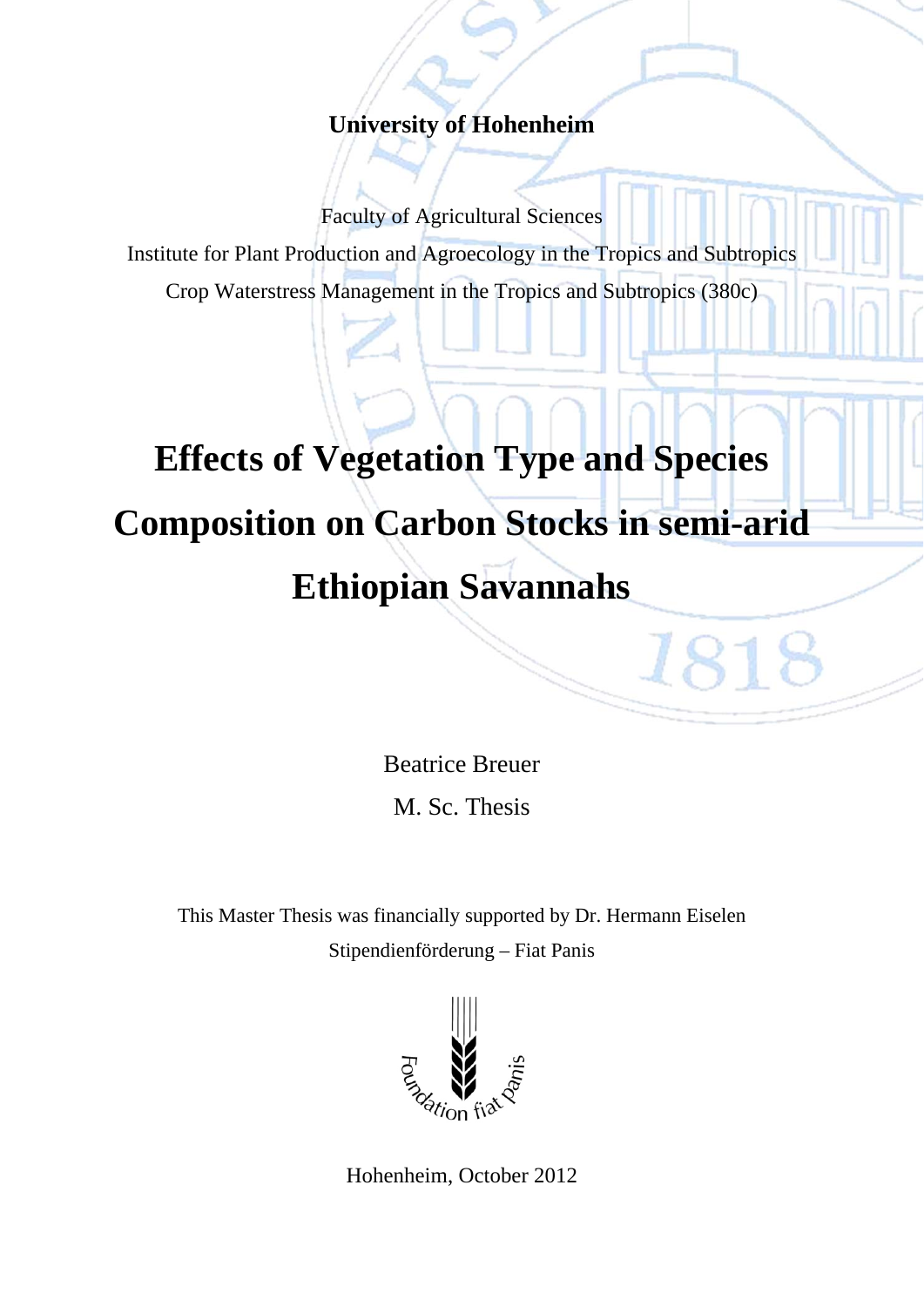## **University of Hohenheim**

Faculty of Agricultural Sciences

Institute for Plant Production and Agroecology in the Tropics and Subtropics

Crop Waterstress Management in the Tropics and Subtropics (380c)

## **Effects of Vegetation Type and Species Composition on Carbon Stocks in semi-arid Ethiopian Savannahs**

Beatrice Breuer M. Sc. Thesis

1818

This Master Thesis was financially supported by Dr. Hermann Eiselen Stipendienförderung – Fiat Panis



Hohenheim, October 2012